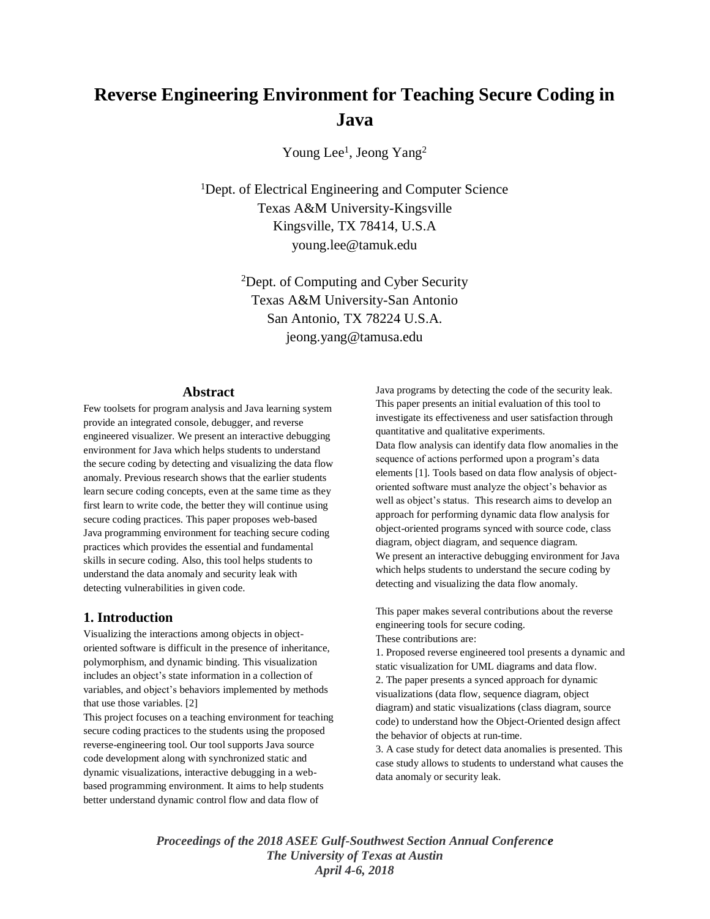# **Reverse Engineering Environment for Teaching Secure Coding in Java**

Young Lee<sup>1</sup>, Jeong Yang<sup>2</sup>

<sup>1</sup>Dept. of Electrical Engineering and Computer Science Texas A&M University-Kingsville Kingsville, TX 78414, U.S.A young.lee@tamuk.edu

> <sup>2</sup>Dept. of Computing and Cyber Security Texas A&M University-San Antonio San Antonio, TX 78224 U.S.A. jeong.yang@tamusa.edu

#### **Abstract**

Few toolsets for program analysis and Java learning system provide an integrated console, debugger, and reverse engineered visualizer. We present an interactive debugging environment for Java which helps students to understand the secure coding by detecting and visualizing the data flow anomaly. Previous research shows that the earlier students learn secure coding concepts, even at the same time as they first learn to write code, the better they will continue using secure coding practices. This paper proposes web-based Java programming environment for teaching secure coding practices which provides the essential and fundamental skills in secure coding. Also, this tool helps students to understand the data anomaly and security leak with detecting vulnerabilities in given code.

#### **1. Introduction**

Visualizing the interactions among objects in objectoriented software is difficult in the presence of inheritance, polymorphism, and dynamic binding. This visualization includes an object's state information in a collection of variables, and object's behaviors implemented by methods that use those variables. [2]

This project focuses on a teaching environment for teaching secure coding practices to the students using the proposed reverse-engineering tool. Our tool supports Java source code development along with synchronized static and dynamic visualizations, interactive debugging in a webbased programming environment. It aims to help students better understand dynamic control flow and data flow of

Java programs by detecting the code of the security leak. This paper presents an initial evaluation of this tool to investigate its effectiveness and user satisfaction through quantitative and qualitative experiments. Data flow analysis can identify data flow anomalies in the sequence of actions performed upon a program's data elements [1]. Tools based on data flow analysis of objectoriented software must analyze the object's behavior as well as object's status. This research aims to develop an approach for performing dynamic data flow analysis for object-oriented programs synced with source code, class diagram, object diagram, and sequence diagram. We present an interactive debugging environment for Java which helps students to understand the secure coding by detecting and visualizing the data flow anomaly.

This paper makes several contributions about the reverse engineering tools for secure coding.

These contributions are:

1. Proposed reverse engineered tool presents a dynamic and static visualization for UML diagrams and data flow. 2. The paper presents a synced approach for dynamic visualizations (data flow, sequence diagram, object diagram) and static visualizations (class diagram, source code) to understand how the Object-Oriented design affect the behavior of objects at run-time.

3. A case study for detect data anomalies is presented. This case study allows to students to understand what causes the data anomaly or security leak.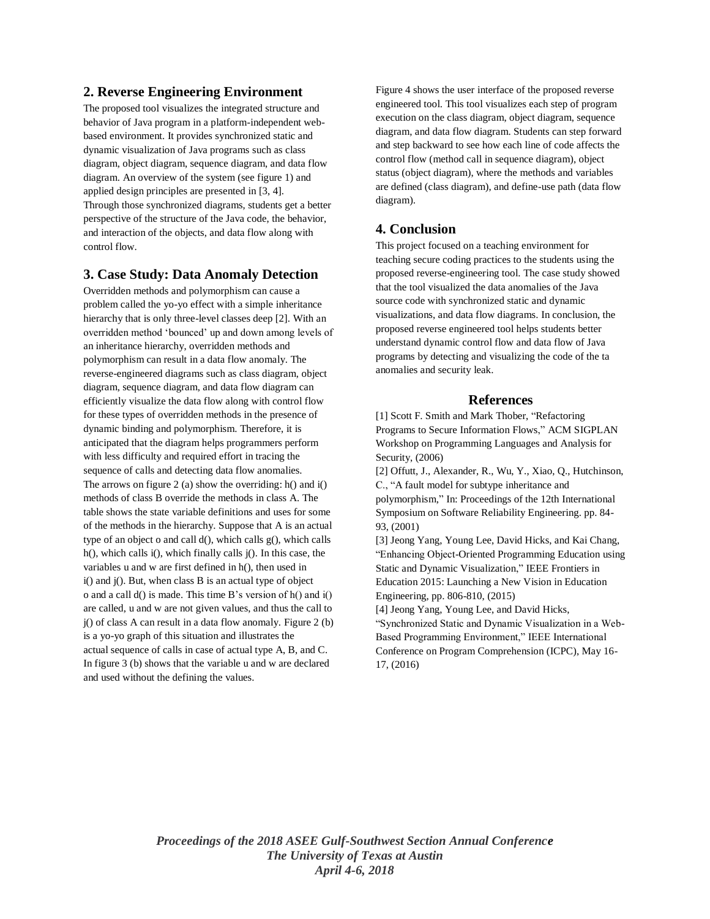# **2. Reverse Engineering Environment**

The proposed tool visualizes the integrated structure and behavior of Java program in a platform-independent webbased environment. It provides synchronized static and dynamic visualization of Java programs such as class diagram, object diagram, sequence diagram, and data flow diagram. An overview of the system (see figure 1) and applied design principles are presented in [3, 4]. Through those synchronized diagrams, students get a better perspective of the structure of the Java code, the behavior, and interaction of the objects, and data flow along with control flow.

# **3. Case Study: Data Anomaly Detection**

Overridden methods and polymorphism can cause a problem called the yo-yo effect with a simple inheritance hierarchy that is only three-level classes deep [2]. With an overridden method 'bounced' up and down among levels of an inheritance hierarchy, overridden methods and polymorphism can result in a data flow anomaly. The reverse-engineered diagrams such as class diagram, object diagram, sequence diagram, and data flow diagram can efficiently visualize the data flow along with control flow for these types of overridden methods in the presence of dynamic binding and polymorphism. Therefore, it is anticipated that the diagram helps programmers perform with less difficulty and required effort in tracing the sequence of calls and detecting data flow anomalies. The arrows on figure 2 (a) show the overriding: h() and i() methods of class B override the methods in class A. The table shows the state variable definitions and uses for some of the methods in the hierarchy. Suppose that A is an actual type of an object o and call  $d()$ , which calls  $g()$ , which calls h(), which calls i(), which finally calls j(). In this case, the variables u and w are first defined in h(), then used in i() and j(). But, when class B is an actual type of object o and a call d() is made. This time B's version of h() and i() are called, u and w are not given values, and thus the call to j() of class A can result in a data flow anomaly. Figure 2 (b) is a yo-yo graph of this situation and illustrates the actual sequence of calls in case of actual type A, B, and C. In figure 3 (b) shows that the variable u and w are declared and used without the defining the values.

Figure 4 shows the user interface of the proposed reverse engineered tool. This tool visualizes each step of program execution on the class diagram, object diagram, sequence diagram, and data flow diagram. Students can step forward and step backward to see how each line of code affects the control flow (method call in sequence diagram), object status (object diagram), where the methods and variables are defined (class diagram), and define-use path (data flow diagram).

# **4. Conclusion**

This project focused on a teaching environment for teaching secure coding practices to the students using the proposed reverse-engineering tool. The case study showed that the tool visualized the data anomalies of the Java source code with synchronized static and dynamic visualizations, and data flow diagrams. In conclusion, the proposed reverse engineered tool helps students better understand dynamic control flow and data flow of Java programs by detecting and visualizing the code of the ta anomalies and security leak.

#### **References**

[1] Scott F. Smith and Mark Thober, "Refactoring Programs to Secure Information Flows," ACM SIGPLAN Workshop on Programming Languages and Analysis for Security, (2006)

[2] Offutt, J., Alexander, R., Wu, Y., Xiao, Q., Hutchinson, C., "A fault model for subtype inheritance and polymorphism," In: Proceedings of the 12th International Symposium on Software Reliability Engineering. pp. 84- 93, (2001)

[3] Jeong Yang, Young Lee, David Hicks, and Kai Chang, "Enhancing Object-Oriented Programming Education using Static and Dynamic Visualization," IEEE Frontiers in Education 2015: Launching a New Vision in Education Engineering, pp. 806-810, (2015)

[4] Jeong Yang, Young Lee, and David Hicks, "Synchronized Static and Dynamic Visualization in a Web-Based Programming Environment," IEEE International Conference on Program Comprehension (ICPC), May 16- 17, (2016)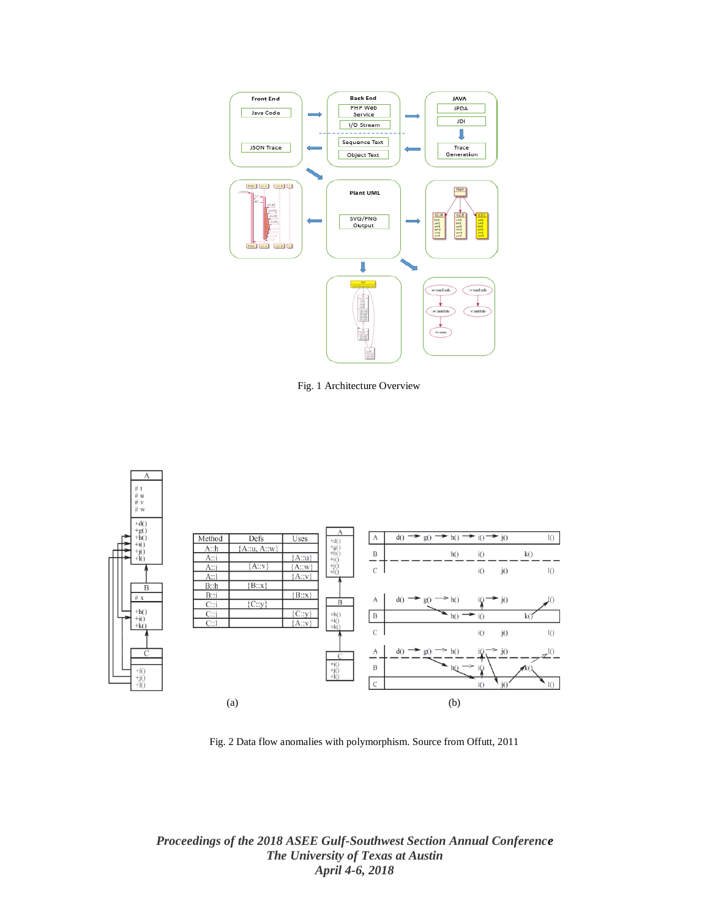

Fig. 1 Architecture Overview



Fig. 2 Data flow anomalies with polymorphism. Source from Offutt, 2011